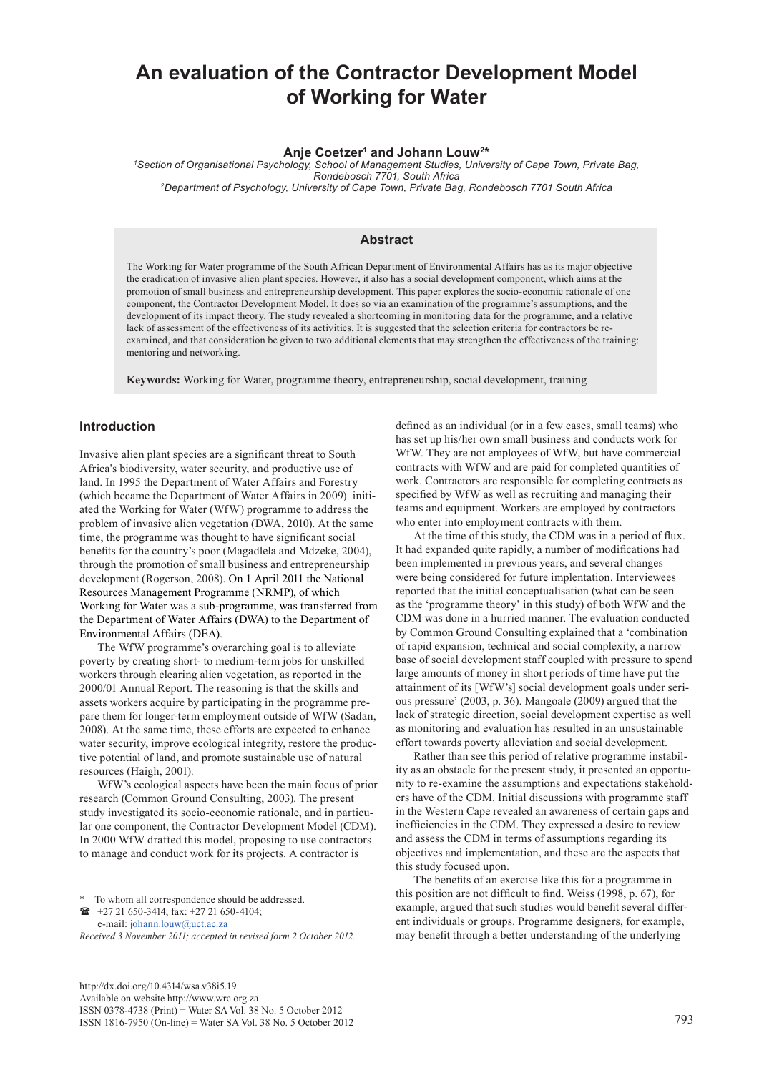# **An evaluation of the Contractor Development Model of Working for Water**

## **Anje Coetzer1 and Johann Louw2\***

*1 Section of Organisational Psychology, School of Management Studies, University of Cape Town, Private Bag, Rondebosch 7701, South Africa 2Department of Psychology, University of Cape Town, Private Bag, Rondebosch 7701 South Africa*

# **Abstract**

The Working for Water programme of the South African Department of Environmental Affairs has as its major objective the eradication of invasive alien plant species. However, it also has a social development component, which aims at the promotion of small business and entrepreneurship development. This paper explores the socio-economic rationale of one component, the Contractor Development Model. It does so via an examination of the programme's assumptions, and the development of its impact theory. The study revealed a shortcoming in monitoring data for the programme, and a relative lack of assessment of the effectiveness of its activities. It is suggested that the selection criteria for contractors be reexamined, and that consideration be given to two additional elements that may strengthen the effectiveness of the training: mentoring and networking.

**Keywords:** Working for Water, programme theory, entrepreneurship, social development, training

# **Introduction**

Invasive alien plant species are a significant threat to South Africa's biodiversity, water security, and productive use of land. In 1995 the Department of Water Affairs and Forestry (which became the Department of Water Affairs in 2009) initiated the Working for Water (WfW) programme to address the problem of invasive alien vegetation (DWA, 2010). At the same time, the programme was thought to have significant social benefits for the country's poor (Magadlela and Mdzeke, 2004), through the promotion of small business and entrepreneurship development (Rogerson, 2008). On 1 April 2011 the National Resources Management Programme (NRMP), of which Working for Water was a sub-programme, was transferred from the Department of Water Affairs (DWA) to the Department of Environmental Affairs (DEA).

The WfW programme's overarching goal is to alleviate poverty by creating short- to medium-term jobs for unskilled workers through clearing alien vegetation, as reported in the 2000/01 Annual Report. The reasoning is that the skills and assets workers acquire by participating in the programme prepare them for longer-term employment outside of WfW (Sadan, 2008). At the same time, these efforts are expected to enhance water security, improve ecological integrity, restore the productive potential of land, and promote sustainable use of natural resources (Haigh, 2001).

WfW's ecological aspects have been the main focus of prior research (Common Ground Consulting, 2003). The present study investigated its socio-economic rationale, and in particular one component, the Contractor Development Model (CDM). In 2000 WfW drafted this model, proposing to use contractors to manage and conduct work for its projects. A contractor is

e-mail: [johann.louw@uct.ac.za](mailto:johann.louw@uct.ac.za) 

[http://dx.doi.org/10.4314/wsa.v38i5.19](http://dx.doi.org/10.4314/wsa.v37i4.18)  Available on website http://www.wrc.org.za ISSN 0378-4738 (Print) = Water SA Vol. 38 No. 5 October 2012 ISSN 1816-7950 (On-line) = Water SA Vol. 38 No. 5 October 2012 793

defined as an individual (or in a few cases, small teams) who has set up his/her own small business and conducts work for WfW. They are not employees of WfW, but have commercial contracts with WfW and are paid for completed quantities of work. Contractors are responsible for completing contracts as specified by WfW as well as recruiting and managing their teams and equipment. Workers are employed by contractors who enter into employment contracts with them.

At the time of this study, the CDM was in a period of flux. It had expanded quite rapidly, a number of modifications had been implemented in previous years, and several changes were being considered for future implentation. Interviewees reported that the initial conceptualisation (what can be seen as the 'programme theory' in this study) of both WfW and the CDM was done in a hurried manner. The evaluation conducted by Common Ground Consulting explained that a 'combination of rapid expansion, technical and social complexity, a narrow base of social development staff coupled with pressure to spend large amounts of money in short periods of time have put the attainment of its [WfW's] social development goals under serious pressure' (2003, p. 36). Mangoale (2009) argued that the lack of strategic direction, social development expertise as well as monitoring and evaluation has resulted in an unsustainable effort towards poverty alleviation and social development.

Rather than see this period of relative programme instability as an obstacle for the present study, it presented an opportunity to re-examine the assumptions and expectations stakeholders have of the CDM. Initial discussions with programme staff in the Western Cape revealed an awareness of certain gaps and inefficiencies in the CDM. They expressed a desire to review and assess the CDM in terms of assumptions regarding its objectives and implementation, and these are the aspects that this study focused upon.

The benefits of an exercise like this for a programme in this position are not difficult to find. Weiss (1998, p. 67), for example, argued that such studies would benefit several different individuals or groups. Programme designers, for example, may benefit through a better understanding of the underlying

To whom all correspondence should be addressed. +27 21 650-3414; fax: +27 21 650-4104;

*Received 3 November 2011; accepted in revised form 2 October 2012.*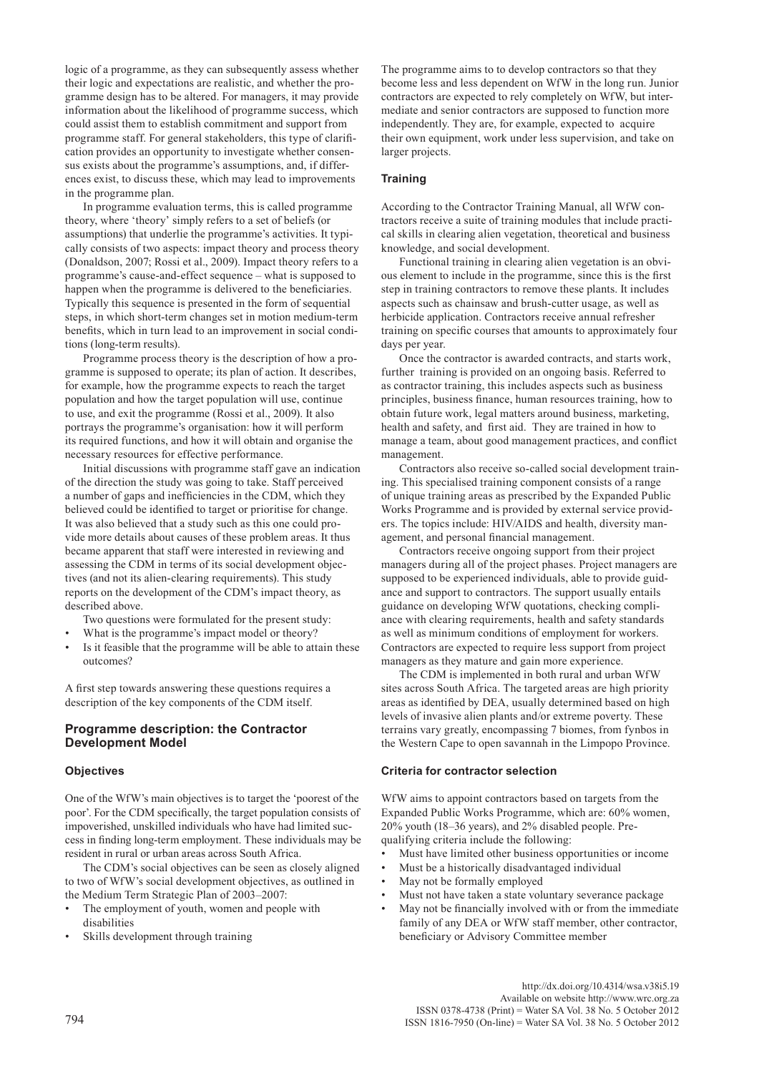logic of a programme, as they can subsequently assess whether their logic and expectations are realistic, and whether the programme design has to be altered. For managers, it may provide information about the likelihood of programme success, which could assist them to establish commitment and support from programme staff. For general stakeholders, this type of clarification provides an opportunity to investigate whether consensus exists about the programme's assumptions, and, if differences exist, to discuss these, which may lead to improvements in the programme plan.

In programme evaluation terms, this is called programme theory, where 'theory' simply refers to a set of beliefs (or assumptions) that underlie the programme's activities. It typically consists of two aspects: impact theory and process theory (Donaldson, 2007; Rossi et al., 2009). Impact theory refers to a programme's cause-and-effect sequence – what is supposed to happen when the programme is delivered to the beneficiaries. Typically this sequence is presented in the form of sequential steps, in which short-term changes set in motion medium-term benefits, which in turn lead to an improvement in social conditions (long-term results).

Programme process theory is the description of how a programme is supposed to operate; its plan of action. It describes, for example, how the programme expects to reach the target population and how the target population will use, continue to use, and exit the programme (Rossi et al., 2009). It also portrays the programme's organisation: how it will perform its required functions, and how it will obtain and organise the necessary resources for effective performance.

Initial discussions with programme staff gave an indication of the direction the study was going to take. Staff perceived a number of gaps and inefficiencies in the CDM, which they believed could be identified to target or prioritise for change. It was also believed that a study such as this one could provide more details about causes of these problem areas. It thus became apparent that staff were interested in reviewing and assessing the CDM in terms of its social development objectives (and not its alien-clearing requirements). This study reports on the development of the CDM's impact theory, as described above.

Two questions were formulated for the present study:

- What is the programme's impact model or theory?
- Is it feasible that the programme will be able to attain these outcomes?

A first step towards answering these questions requires a description of the key components of the CDM itself.

## **Programme description: the Contractor Development Model**

#### **Objectives**

One of the WfW's main objectives is to target the 'poorest of the poor'. For the CDM specifically, the target population consists of impoverished, unskilled individuals who have had limited success in finding long-term employment. These individuals may be resident in rural or urban areas across South Africa.

The CDM's social objectives can be seen as closely aligned to two of WfW's social development objectives, as outlined in the Medium Term Strategic Plan of 2003–2007:

- The employment of youth, women and people with disabilities
- Skills development through training

The programme aims to to develop contractors so that they become less and less dependent on WfW in the long run. Junior contractors are expected to rely completely on WfW, but intermediate and senior contractors are supposed to function more independently. They are, for example, expected to acquire their own equipment, work under less supervision, and take on larger projects.

## **Training**

According to the Contractor Training Manual, all WfW contractors receive a suite of training modules that include practical skills in clearing alien vegetation, theoretical and business knowledge, and social development.

Functional training in clearing alien vegetation is an obvious element to include in the programme, since this is the first step in training contractors to remove these plants. It includes aspects such as chainsaw and brush-cutter usage, as well as herbicide application. Contractors receive annual refresher training on specific courses that amounts to approximately four days per year.

Once the contractor is awarded contracts, and starts work, further training is provided on an ongoing basis. Referred to as contractor training, this includes aspects such as business principles, business finance, human resources training, how to obtain future work, legal matters around business, marketing, health and safety, and first aid. They are trained in how to manage a team, about good management practices, and conflict management.

Contractors also receive so-called social development training. This specialised training component consists of a range of unique training areas as prescribed by the Expanded Public Works Programme and is provided by external service providers. The topics include: HIV/AIDS and health, diversity management, and personal financial management.

Contractors receive ongoing support from their project managers during all of the project phases. Project managers are supposed to be experienced individuals, able to provide guidance and support to contractors. The support usually entails guidance on developing WfW quotations, checking compliance with clearing requirements, health and safety standards as well as minimum conditions of employment for workers. Contractors are expected to require less support from project managers as they mature and gain more experience.

The CDM is implemented in both rural and urban WfW sites across South Africa. The targeted areas are high priority areas as identified by DEA, usually determined based on high levels of invasive alien plants and/or extreme poverty. These terrains vary greatly, encompassing 7 biomes, from fynbos in the Western Cape to open savannah in the Limpopo Province.

#### **Criteria for contractor selection**

WfW aims to appoint contractors based on targets from the Expanded Public Works Programme, which are: 60% women, 20% youth (18–36 years), and 2% disabled people. Prequalifying criteria include the following:

- Must have limited other business opportunities or income
- Must be a historically disadvantaged individual
- May not be formally employed
- Must not have taken a state voluntary severance package
- May not be financially involved with or from the immediate family of any DEA or WfW staff member, other contractor, beneficiary or Advisory Committee member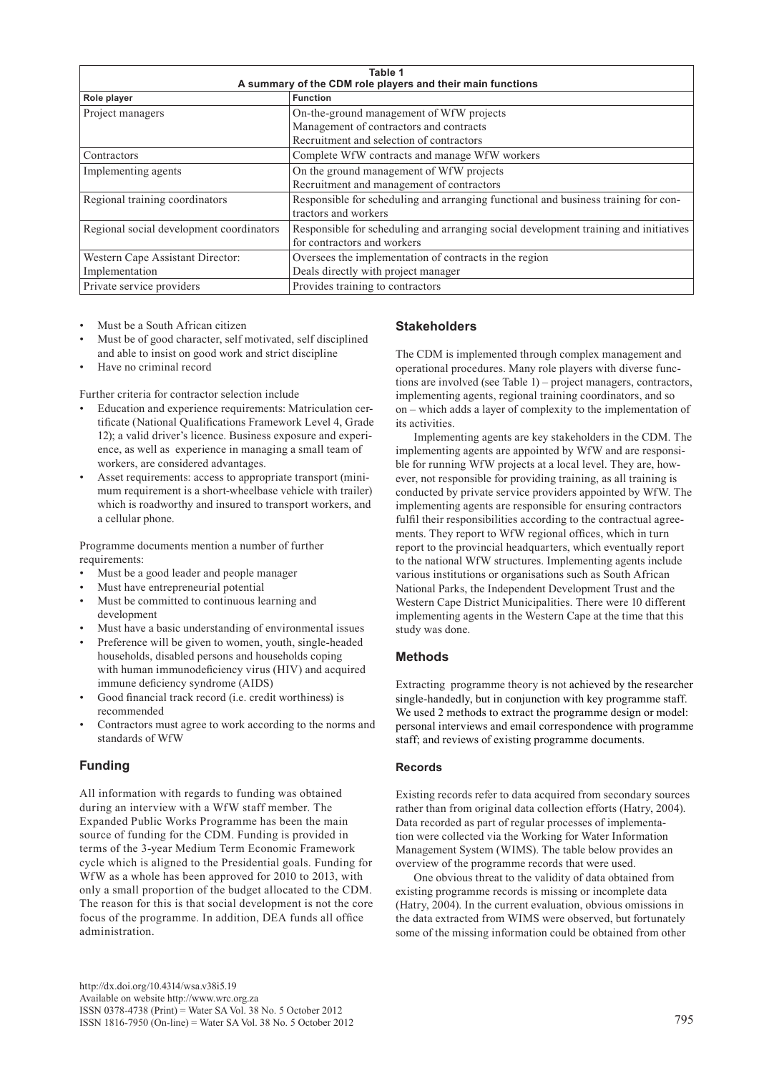| Table 1<br>A summary of the CDM role players and their main functions |                                                                                      |  |
|-----------------------------------------------------------------------|--------------------------------------------------------------------------------------|--|
| Role player                                                           | <b>Function</b>                                                                      |  |
| Project managers                                                      | On-the-ground management of WfW projects                                             |  |
|                                                                       | Management of contractors and contracts                                              |  |
|                                                                       | Recruitment and selection of contractors                                             |  |
| Contractors                                                           | Complete WfW contracts and manage WfW workers                                        |  |
| Implementing agents                                                   | On the ground management of WfW projects                                             |  |
|                                                                       | Recruitment and management of contractors                                            |  |
| Regional training coordinators                                        | Responsible for scheduling and arranging functional and business training for con-   |  |
|                                                                       | tractors and workers                                                                 |  |
| Regional social development coordinators                              | Responsible for scheduling and arranging social development training and initiatives |  |
|                                                                       | for contractors and workers                                                          |  |
| Western Cape Assistant Director:                                      | Oversees the implementation of contracts in the region                               |  |
| Implementation                                                        | Deals directly with project manager                                                  |  |
| Private service providers                                             | Provides training to contractors                                                     |  |

- Must be a South African citizen
- Must be of good character, self motivated, self disciplined and able to insist on good work and strict discipline
- Have no criminal record

Further criteria for contractor selection include

- Education and experience requirements: Matriculation certificate (National Qualifications Framework Level 4, Grade 12); a valid driver's licence. Business exposure and experience, as well as experience in managing a small team of workers, are considered advantages.
- Asset requirements: access to appropriate transport (minimum requirement is a short-wheelbase vehicle with trailer) which is roadworthy and insured to transport workers, and a cellular phone.

Programme documents mention a number of further requirements:

- Must be a good leader and people manager
- Must have entrepreneurial potential
- Must be committed to continuous learning and development
- Must have a basic understanding of environmental issues
- Preference will be given to women, youth, single-headed households, disabled persons and households coping with human immunodeficiency virus (HIV) and acquired immune deficiency syndrome (AIDS)
- Good financial track record (i.e. credit worthiness) is recommended
- Contractors must agree to work according to the norms and standards of WfW

# **Funding**

All information with regards to funding was obtained during an interview with a WfW staff member. The Expanded Public Works Programme has been the main source of funding for the CDM. Funding is provided in terms of the 3-year Medium Term Economic Framework cycle which is aligned to the Presidential goals. Funding for WfW as a whole has been approved for 2010 to 2013, with only a small proportion of the budget allocated to the CDM. The reason for this is that social development is not the core focus of the programme. In addition, DEA funds all office administration.

# **Stakeholders**

The CDM is implemented through complex management and operational procedures. Many role players with diverse functions are involved (see Table 1) – project managers, contractors, implementing agents, regional training coordinators, and so on – which adds a layer of complexity to the implementation of its activities.

Implementing agents are key stakeholders in the CDM. The implementing agents are appointed by WfW and are responsible for running WfW projects at a local level. They are, however, not responsible for providing training, as all training is conducted by private service providers appointed by WfW. The implementing agents are responsible for ensuring contractors fulfil their responsibilities according to the contractual agreements. They report to WfW regional offices, which in turn report to the provincial headquarters, which eventually report to the national WfW structures. Implementing agents include various institutions or organisations such as South African National Parks, the Independent Development Trust and the Western Cape District Municipalities. There were 10 different implementing agents in the Western Cape at the time that this study was done.

# **Methods**

Extracting programme theory is not achieved by the researcher single-handedly, but in conjunction with key programme staff. We used 2 methods to extract the programme design or model: personal interviews and email correspondence with programme staff; and reviews of existing programme documents.

# **Records**

Existing records refer to data acquired from secondary sources rather than from original data collection efforts (Hatry, 2004). Data recorded as part of regular processes of implementation were collected via the Working for Water Information Management System (WIMS). The table below provides an overview of the programme records that were used.

One obvious threat to the validity of data obtained from existing programme records is missing or incomplete data (Hatry, 2004). In the current evaluation, obvious omissions in the data extracted from WIMS were observed, but fortunately some of the missing information could be obtained from other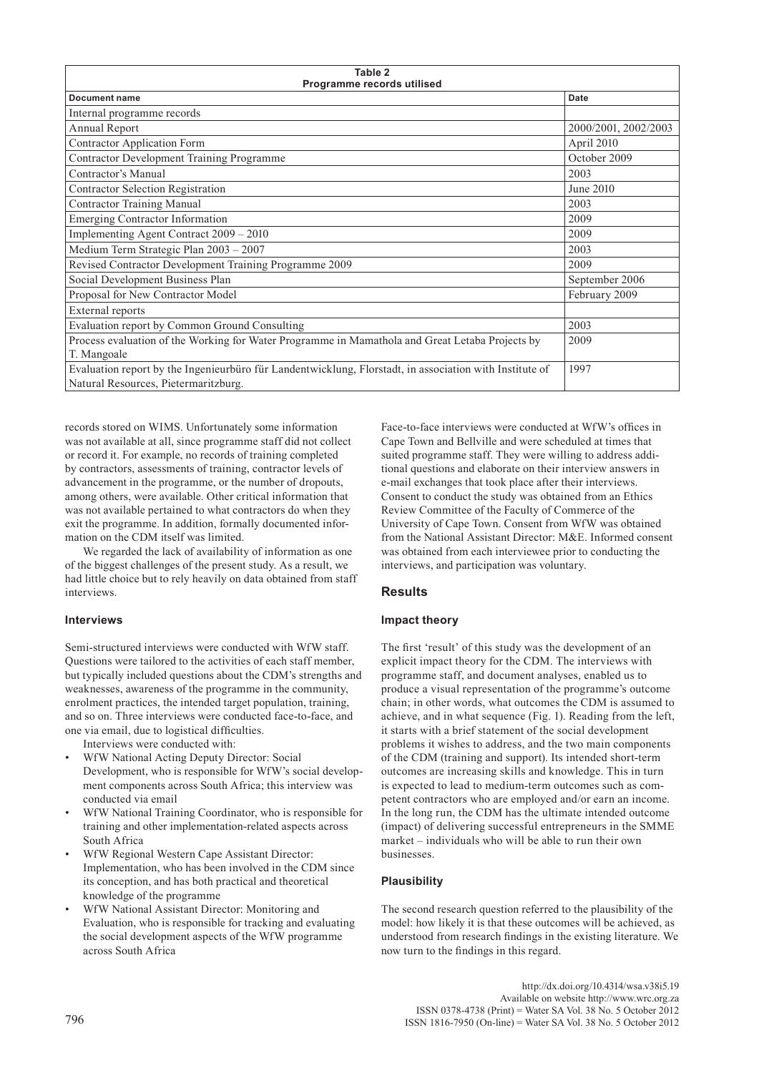| Table 2<br>Programme records utilised                                                                                                           |                      |  |
|-------------------------------------------------------------------------------------------------------------------------------------------------|----------------------|--|
| Document name                                                                                                                                   | Date                 |  |
| Internal programme records                                                                                                                      |                      |  |
| Annual Report                                                                                                                                   | 2000/2001, 2002/2003 |  |
| Contractor Application Form                                                                                                                     | April 2010           |  |
| Contractor Development Training Programme                                                                                                       | October 2009         |  |
| Contractor's Manual                                                                                                                             | 2003                 |  |
| Contractor Selection Registration                                                                                                               | June 2010            |  |
| <b>Contractor Training Manual</b>                                                                                                               | 2003                 |  |
| <b>Emerging Contractor Information</b>                                                                                                          | 2009                 |  |
| Implementing Agent Contract 2009 - 2010                                                                                                         | 2009                 |  |
| Medium Term Strategic Plan 2003 - 2007                                                                                                          | 2003                 |  |
| Revised Contractor Development Training Programme 2009                                                                                          | 2009                 |  |
| Social Development Business Plan                                                                                                                | September 2006       |  |
| Proposal for New Contractor Model                                                                                                               | February 2009        |  |
| External reports                                                                                                                                |                      |  |
| Evaluation report by Common Ground Consulting                                                                                                   | 2003                 |  |
| Process evaluation of the Working for Water Programme in Mamathola and Great Letaba Projects by                                                 | 2009                 |  |
| T. Mangoale                                                                                                                                     |                      |  |
| Evaluation report by the Ingenieurbüro für Landentwicklung, Florstadt, in association with Institute of<br>Natural Resources, Pietermaritzburg. | 1997                 |  |

records stored on WIMS. Unfortunately some information was not available at all, since programme staff did not collect or record it. For example, no records of training completed by contractors, assessments of training, contractor levels of advancement in the programme, or the number of dropouts, among others, were available. Other critical information that was not available pertained to what contractors do when they exit the programme. In addition, formally documented information on the CDM itself was limited.

We regarded the lack of availability of information as one of the biggest challenges of the present study. As a result, we had little choice but to rely heavily on data obtained from staff interviews.

# **Interviews**

Semi-structured interviews were conducted with WfW staff. Questions were tailored to the activities of each staff member, but typically included questions about the CDM's strengths and weaknesses, awareness of the programme in the community, enrolment practices, the intended target population, training, and so on. Three interviews were conducted face-to-face, and one via email, due to logistical difficulties.

Interviews were conducted with:

- WfW National Acting Deputy Director: Social Development, who is responsible for WfW's social development components across South Africa; this interview was conducted via email
- WfW National Training Coordinator, who is responsible for training and other implementation-related aspects across South Africa
- WfW Regional Western Cape Assistant Director: Implementation, who has been involved in the CDM since its conception, and has both practical and theoretical knowledge of the programme
- WfW National Assistant Director: Monitoring and Evaluation, who is responsible for tracking and evaluating the social development aspects of the WfW programme across South Africa

Face-to-face interviews were conducted at WfW's offices in Cape Town and Bellville and were scheduled at times that suited programme staff. They were willing to address additional questions and elaborate on their interview answers in e-mail exchanges that took place after their interviews. Consent to conduct the study was obtained from an Ethics Review Committee of the Faculty of Commerce of the University of Cape Town. Consent from WfW was obtained from the National Assistant Director: M&E. Informed consent was obtained from each interviewee prior to conducting the interviews, and participation was voluntary.

# **Results**

# **Impact theory**

The first 'result' of this study was the development of an explicit impact theory for the CDM. The interviews with programme staff, and document analyses, enabled us to produce a visual representation of the programme's outcome chain; in other words, what outcomes the CDM is assumed to achieve, and in what sequence (Fig. 1). Reading from the left, it starts with a brief statement of the social development problems it wishes to address, and the two main components of the CDM (training and support). Its intended short-term outcomes are increasing skills and knowledge. This in turn is expected to lead to medium-term outcomes such as competent contractors who are employed and/or earn an income. In the long run, the CDM has the ultimate intended outcome (impact) of delivering successful entrepreneurs in the SMME market – individuals who will be able to run their own businesses.

## **Plausibility**

The second research question referred to the plausibility of the model: how likely it is that these outcomes will be achieved, as understood from research findings in the existing literature. We now turn to the findings in this regard.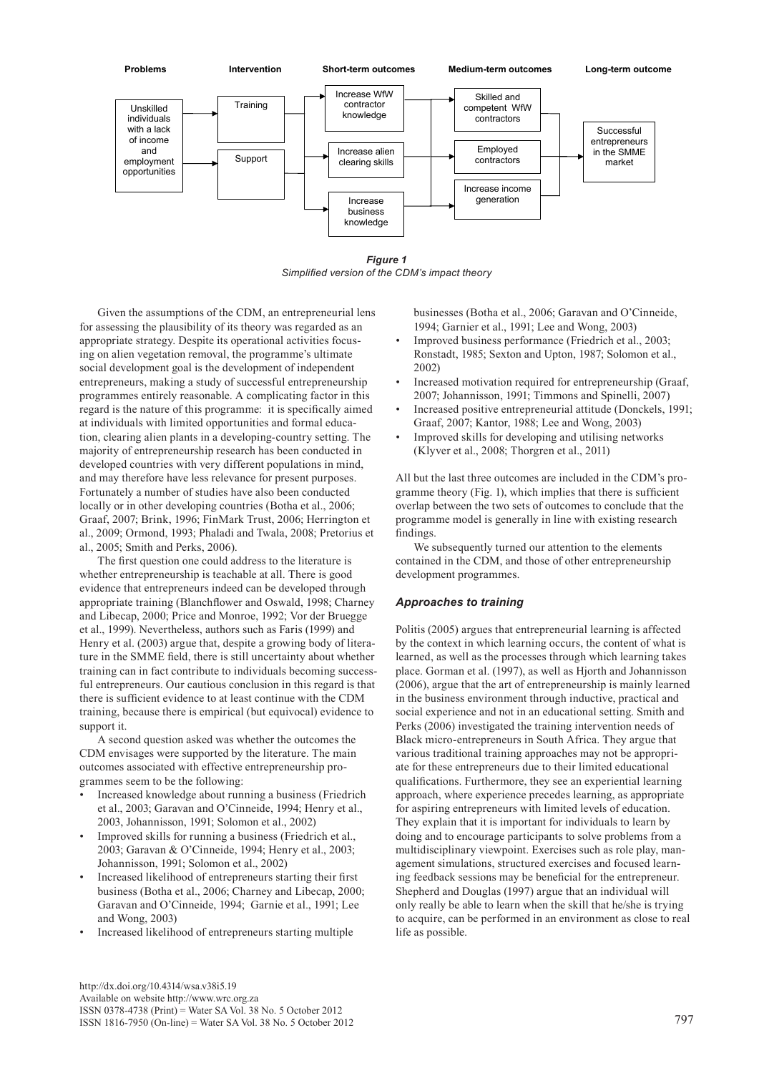

*Figure 1 Simplified version of the CDM's impact theory*

Given the assumptions of the CDM, an entrepreneurial lens for assessing the plausibility of its theory was regarded as an appropriate strategy. Despite its operational activities focusing on alien vegetation removal, the programme's ultimate social development goal is the development of independent entrepreneurs, making a study of successful entrepreneurship programmes entirely reasonable. A complicating factor in this regard is the nature of this programme: it is specifically aimed at individuals with limited opportunities and formal education, clearing alien plants in a developing-country setting. The majority of entrepreneurship research has been conducted in developed countries with very different populations in mind, and may therefore have less relevance for present purposes. Fortunately a number of studies have also been conducted locally or in other developing countries (Botha et al., 2006; Graaf, 2007; Brink, 1996; FinMark Trust, 2006; Herrington et al., 2009; Ormond, 1993; Phaladi and Twala, 2008; Pretorius et al., 2005; Smith and Perks, 2006).

The first question one could address to the literature is whether entrepreneurship is teachable at all. There is good evidence that entrepreneurs indeed can be developed through appropriate training (Blanchflower and Oswald, 1998; Charney and Libecap, 2000; Price and Monroe, 1992; Vor der Bruegge et al., 1999). Nevertheless, authors such as Faris (1999) and Henry et al. (2003) argue that, despite a growing body of literature in the SMME field, there is still uncertainty about whether training can in fact contribute to individuals becoming successful entrepreneurs. Our cautious conclusion in this regard is that there is sufficient evidence to at least continue with the CDM training, because there is empirical (but equivocal) evidence to support it.

A second question asked was whether the outcomes the CDM envisages were supported by the literature. The main outcomes associated with effective entrepreneurship programmes seem to be the following:

- Increased knowledge about running a business (Friedrich et al., 2003; Garavan and O'Cinneide, 1994; Henry et al., 2003, Johannisson, 1991; Solomon et al., 2002)
- Improved skills for running a business (Friedrich et al., 2003; Garavan & O'Cinneide, 1994; Henry et al., 2003; Johannisson, 1991; Solomon et al., 2002)
- Increased likelihood of entrepreneurs starting their first business (Botha et al., 2006; Charney and Libecap, 2000; Garavan and O'Cinneide, 1994; Garnie et al., 1991; Lee and Wong, 2003)
- Increased likelihood of entrepreneurs starting multiple

businesses (Botha et al., 2006; Garavan and O'Cinneide, 1994; Garnier et al., 1991; Lee and Wong, 2003)

- Improved business performance (Friedrich et al., 2003; Ronstadt, 1985; Sexton and Upton, 1987; Solomon et al., 2002)
- Increased motivation required for entrepreneurship (Graaf, 2007; Johannisson, 1991; Timmons and Spinelli, 2007)
- Increased positive entrepreneurial attitude (Donckels, 1991; Graaf, 2007; Kantor, 1988; Lee and Wong, 2003)
- Improved skills for developing and utilising networks ([Klyver](http://www.springerlink.com.ezproxy.uct.ac.za/content/?Author=Kim+Klyver) et al., 2008; Thorgren et al., 2011)

All but the last three outcomes are included in the CDM's programme theory (Fig. 1), which implies that there is sufficient overlap between the two sets of outcomes to conclude that the programme model is generally in line with existing research findings.

We subsequently turned our attention to the elements contained in the CDM, and those of other entrepreneurship development programmes.

# *Approaches to training*

Politis (2005) argues that entrepreneurial learning is affected by the context in which learning occurs, the content of what is learned, as well as the processes through which learning takes place. Gorman et al. (1997), as well as Hjorth and Johannisson (2006), argue that the art of entrepreneurship is mainly learned in the business environment through inductive, practical and social experience and not in an educational setting. Smith and Perks (2006) investigated the training intervention needs of Black micro-entrepreneurs in South Africa. They argue that various traditional training approaches may not be appropriate for these entrepreneurs due to their limited educational qualifications. Furthermore, they see an experiential learning approach, where experience precedes learning, as appropriate for aspiring entrepreneurs with limited levels of education. They explain that it is important for individuals to learn by doing and to encourage participants to solve problems from a multidisciplinary viewpoint. Exercises such as role play, management simulations, structured exercises and focused learning feedback sessions may be beneficial for the entrepreneur. Shepherd and Douglas (1997) argue that an individual will only really be able to learn when the skill that he/she is trying to acquire, can be performed in an environment as close to real life as possible.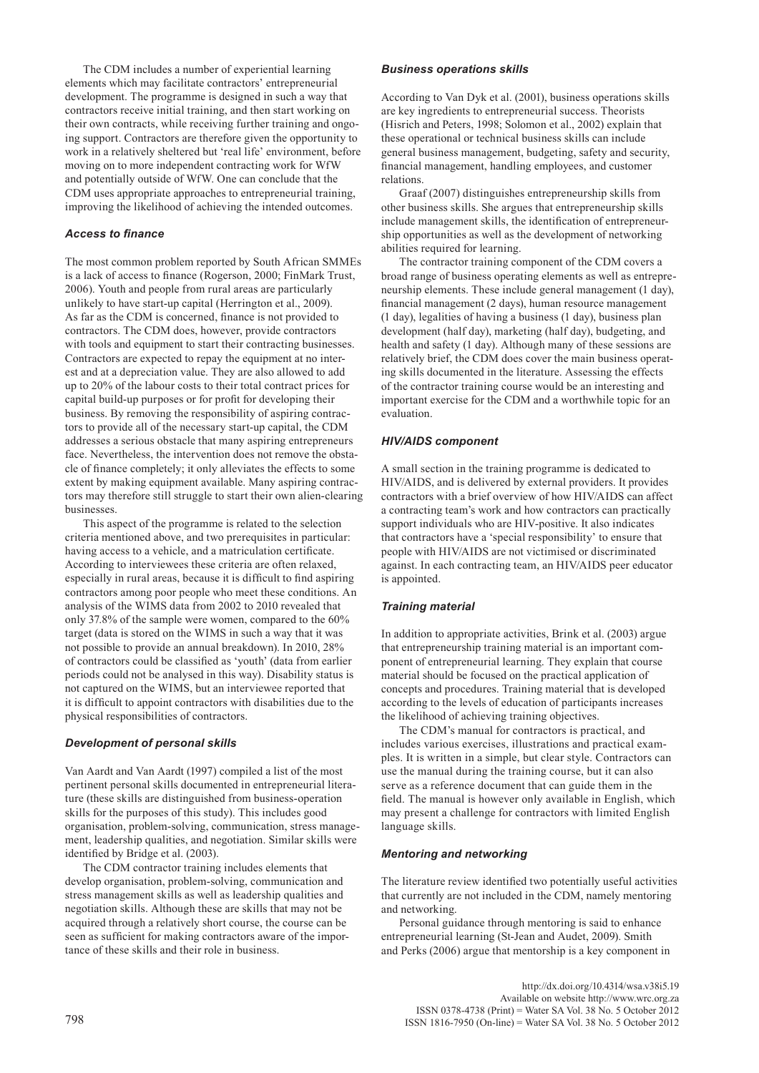The CDM includes a number of experiential learning elements which may facilitate contractors' entrepreneurial development. The programme is designed in such a way that contractors receive initial training, and then start working on their own contracts, while receiving further training and ongoing support. Contractors are therefore given the opportunity to work in a relatively sheltered but 'real life' environment, before moving on to more independent contracting work for WfW and potentially outside of WfW. One can conclude that the CDM uses appropriate approaches to entrepreneurial training, improving the likelihood of achieving the intended outcomes.

# *Access to finance*

The most common problem reported by South African SMMEs is a lack of access to finance (Rogerson, 2000; FinMark Trust, 2006). Youth and people from rural areas are particularly unlikely to have start-up capital (Herrington et al., 2009). As far as the CDM is concerned, finance is not provided to contractors. The CDM does, however, provide contractors with tools and equipment to start their contracting businesses. Contractors are expected to repay the equipment at no interest and at a depreciation value. They are also allowed to add up to 20% of the labour costs to their total contract prices for capital build-up purposes or for profit for developing their business. By removing the responsibility of aspiring contractors to provide all of the necessary start-up capital, the CDM addresses a serious obstacle that many aspiring entrepreneurs face. Nevertheless, the intervention does not remove the obstacle of finance completely; it only alleviates the effects to some extent by making equipment available. Many aspiring contractors may therefore still struggle to start their own alien-clearing businesses.

This aspect of the programme is related to the selection criteria mentioned above, and two prerequisites in particular: having access to a vehicle, and a matriculation certificate. According to interviewees these criteria are often relaxed, especially in rural areas, because it is difficult to find aspiring contractors among poor people who meet these conditions. An analysis of the WIMS data from 2002 to 2010 revealed that only 37.8% of the sample were women, compared to the 60% target (data is stored on the WIMS in such a way that it was not possible to provide an annual breakdown). In 2010, 28% of contractors could be classified as 'youth' (data from earlier periods could not be analysed in this way). Disability status is not captured on the WIMS, but an interviewee reported that it is difficult to appoint contractors with disabilities due to the physical responsibilities of contractors.

## *Development of personal skills*

Van Aardt and Van Aardt (1997) compiled a list of the most pertinent personal skills documented in entrepreneurial literature (these skills are distinguished from business-operation skills for the purposes of this study). This includes good organisation, problem-solving, communication, stress management, leadership qualities, and negotiation. Similar skills were identified by Bridge et al. (2003).

The CDM contractor training includes elements that develop organisation, problem-solving, communication and stress management skills as well as leadership qualities and negotiation skills. Although these are skills that may not be acquired through a relatively short course, the course can be seen as sufficient for making contractors aware of the importance of these skills and their role in business.

#### *Business operations skills*

According to Van Dyk et al. (2001), business operations skills are key ingredients to entrepreneurial success. Theorists (Hisrich and Peters, 1998; Solomon et al., 2002) explain that these operational or technical business skills can include general business management, budgeting, safety and security, financial management, handling employees, and customer relations.

Graaf (2007) distinguishes entrepreneurship skills from other business skills. She argues that entrepreneurship skills include management skills, the identification of entrepreneurship opportunities as well as the development of networking abilities required for learning.

The contractor training component of the CDM covers a broad range of business operating elements as well as entrepreneurship elements. These include general management (1 day), financial management (2 days), human resource management (1 day), legalities of having a business (1 day), business plan development (half day), marketing (half day), budgeting, and health and safety (1 day). Although many of these sessions are relatively brief, the CDM does cover the main business operating skills documented in the literature. Assessing the effects of the contractor training course would be an interesting and important exercise for the CDM and a worthwhile topic for an evaluation.

## *HIV/AIDS component*

A small section in the training programme is dedicated to HIV/AIDS, and is delivered by external providers. It provides contractors with a brief overview of how HIV/AIDS can affect a contracting team's work and how contractors can practically support individuals who are HIV-positive. It also indicates that contractors have a 'special responsibility' to ensure that people with HIV/AIDS are not victimised or discriminated against. In each contracting team, an HIV/AIDS peer educator is appointed.

#### *Training material*

In addition to appropriate activities, Brink et al. (2003) argue that entrepreneurship training material is an important component of entrepreneurial learning. They explain that course material should be focused on the practical application of concepts and procedures. Training material that is developed according to the levels of education of participants increases the likelihood of achieving training objectives.

The CDM's manual for contractors is practical, and includes various exercises, illustrations and practical examples. It is written in a simple, but clear style. Contractors can use the manual during the training course, but it can also serve as a reference document that can guide them in the field. The manual is however only available in English, which may present a challenge for contractors with limited English language skills.

#### *Mentoring and networking*

The literature review identified two potentially useful activities that currently are not included in the CDM, namely mentoring and networking.

Personal guidance through mentoring is said to enhance entrepreneurial learning [\(St-Jean](http://www.springerlink.com.ezproxy.uct.ac.za/content/?Author=Etienne+St-Jean) and [Audet,](http://www.springerlink.com.ezproxy.uct.ac.za/content/?Author=Jos%c3%a9e+Audet) 2009). Smith and Perks (2006) argue that mentorship is a key component in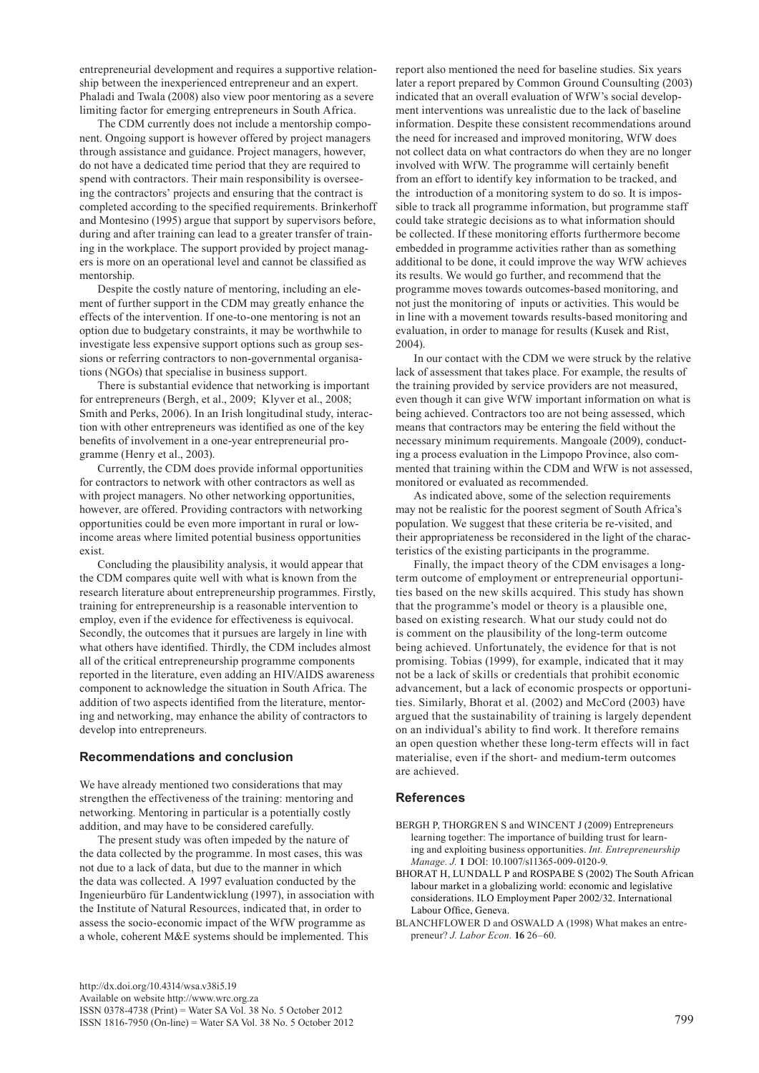entrepreneurial development and requires a supportive relationship between the inexperienced entrepreneur and an expert. Phaladi and Twala (2008) also view poor mentoring as a severe limiting factor for emerging entrepreneurs in South Africa.

The CDM currently does not include a mentorship component. Ongoing support is however offered by project managers through assistance and guidance. Project managers, however, do not have a dedicated time period that they are required to spend with contractors. Their main responsibility is overseeing the contractors' projects and ensuring that the contract is completed according to the specified requirements. Brinkerhoff and Montesino (1995) argue that support by supervisors before, during and after training can lead to a greater transfer of training in the workplace. The support provided by project managers is more on an operational level and cannot be classified as mentorship.

Despite the costly nature of mentoring, including an element of further support in the CDM may greatly enhance the effects of the intervention. If one-to-one mentoring is not an option due to budgetary constraints, it may be worthwhile to investigate less expensive support options such as group sessions or referring contractors to non-governmental organisations (NGOs) that specialise in business support.

There is substantial evidence that networking is important for entrepreneurs (Bergh, et al., 2009; [Klyver](http://www.springerlink.com.ezproxy.uct.ac.za/content/?Author=Kim+Klyver) et al., 2008; Smith and Perks, 2006). In an Irish longitudinal study, interaction with other entrepreneurs was identified as one of the key benefits of involvement in a one-year entrepreneurial programme (Henry et al., 2003).

Currently, the CDM does provide informal opportunities for contractors to network with other contractors as well as with project managers. No other networking opportunities, however, are offered. Providing contractors with networking opportunities could be even more important in rural or lowincome areas where limited potential business opportunities exist.

Concluding the plausibility analysis, it would appear that the CDM compares quite well with what is known from the research literature about entrepreneurship programmes. Firstly, training for entrepreneurship is a reasonable intervention to employ, even if the evidence for effectiveness is equivocal. Secondly, the outcomes that it pursues are largely in line with what others have identified. Thirdly, the CDM includes almost all of the critical entrepreneurship programme components reported in the literature, even adding an HIV/AIDS awareness component to acknowledge the situation in South Africa. The addition of two aspects identified from the literature, mentoring and networking, may enhance the ability of contractors to develop into entrepreneurs.

## **Recommendations and conclusion**

We have already mentioned two considerations that may strengthen the effectiveness of the training: mentoring and networking. Mentoring in particular is a potentially costly addition, and may have to be considered carefully.

The present study was often impeded by the nature of the data collected by the programme. In most cases, this was not due to a lack of data, but due to the manner in which the data was collected. A 1997 evaluation conducted by the Ingenieurbüro für Landentwicklung (1997), in association with the Institute of Natural Resources, indicated that, in order to assess the socio-economic impact of the WfW programme as a whole, coherent M&E systems should be implemented. This

[http://dx.doi.org/10.4314/wsa.v38i5.19](http://dx.doi.org/10.4314/wsa.v37i4.18)  Available on website http://www.wrc.org.za ISSN 0378-4738 (Print) = Water SA Vol. 38 No. 5 October 2012 ISSN 1816-7950 (On-line) = Water SA Vol. 38 No. 5 October 2012 799

report also mentioned the need for baseline studies. Six years later a report prepared by Common Ground Counsulting (2003) indicated that an overall evaluation of WfW's social development interventions was unrealistic due to the lack of baseline information. Despite these consistent recommendations around the need for increased and improved monitoring, WfW does not collect data on what contractors do when they are no longer involved with WfW. The programme will certainly benefit from an effort to identify key information to be tracked, and the introduction of a monitoring system to do so. It is impossible to track all programme information, but programme staff could take strategic decisions as to what information should be collected. If these monitoring efforts furthermore become embedded in programme activities rather than as something additional to be done, it could improve the way WfW achieves its results. We would go further, and recommend that the programme moves towards outcomes-based monitoring, and not just the monitoring of inputs or activities. This would be in line with a movement towards results-based monitoring and evaluation, in order to manage for results (Kusek and Rist, 2004).

In our contact with the CDM we were struck by the relative lack of assessment that takes place. For example, the results of the training provided by service providers are not measured, even though it can give WfW important information on what is being achieved. Contractors too are not being assessed, which means that contractors may be entering the field without the necessary minimum requirements. Mangoale (2009), conducting a process evaluation in the Limpopo Province, also commented that training within the CDM and WfW is not assessed, monitored or evaluated as recommended.

As indicated above, some of the selection requirements may not be realistic for the poorest segment of South Africa's population. We suggest that these criteria be re-visited, and their appropriateness be reconsidered in the light of the characteristics of the existing participants in the programme.

Finally, the impact theory of the CDM envisages a longterm outcome of employment or entrepreneurial opportunities based on the new skills acquired. This study has shown that the programme's model or theory is a plausible one, based on existing research. What our study could not do is comment on the plausibility of the long-term outcome being achieved. Unfortunately, the evidence for that is not promising. Tobias (1999), for example, indicated that it may not be a lack of skills or credentials that prohibit economic advancement, but a lack of economic prospects or opportunities. Similarly, Bhorat et al. (2002) and McCord (2003) have argued that the sustainability of training is largely dependent on an individual's ability to find work. It therefore remains an open question whether these long-term effects will in fact materialise, even if the short- and medium-term outcomes are achieved.

## **References**

- BERGH P, THORGREN S and WINCENT J (2009) Entrepreneurs learning together: The importance of building trust for learning and exploiting business opportunities. *Int. Entrepreneurship Manage. J.* **1** DOI: 10.1007/s11365-009-0120-9.
- BHORAT H, LUNDALL P and ROSPABE S (2002) The South African labour market in a globalizing world: economic and legislative considerations. ILO Employment Paper 2002/32. International Labour Office, Geneva.
- BLANCHFLOWER D and OSWALD A (1998) What makes an entrepreneur? *J. Labor Econ.* **16** 26–60.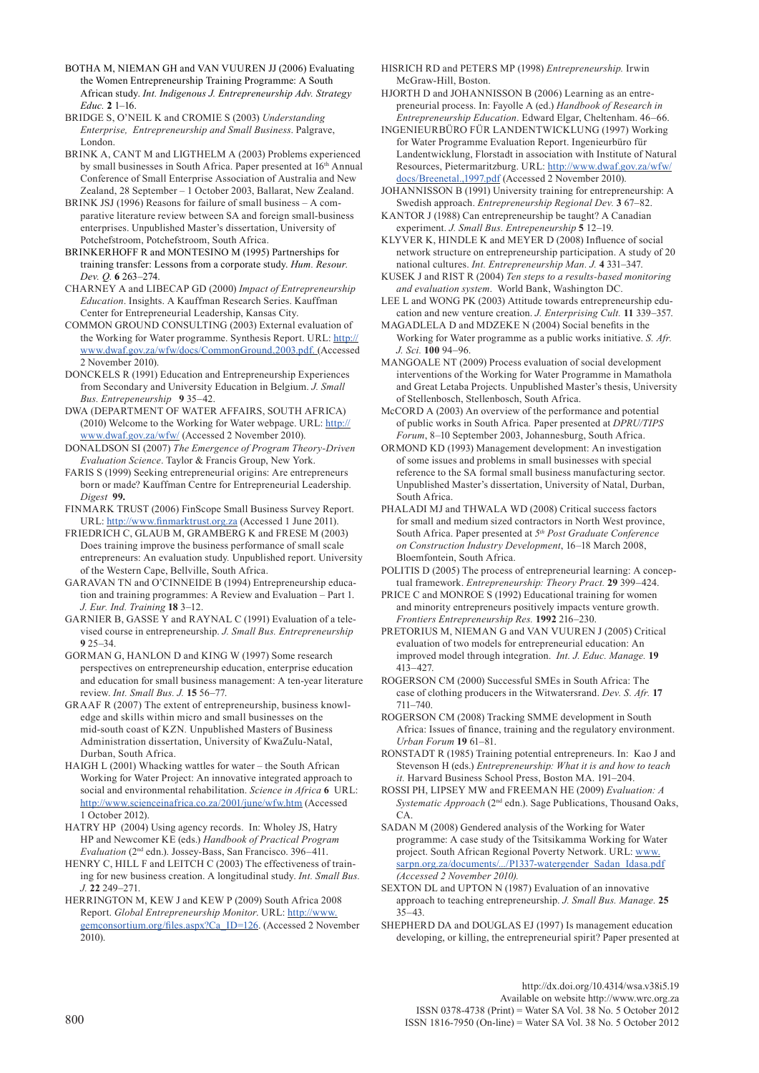BOTHA M, NIEMAN GH and VAN VUUREN JJ (2006) Evaluating the Women Entrepreneurship Training Programme: A South African study. *Int. Indigenous J. Entrepreneurship Adv. Strategy Educ.* **2** 1–16.

BRIDGE S, O'NEIL K and CROMIE S (2003) *Understanding Enterprise, Entrepreneurship and Small Business*. Palgrave, London.

BRINK A, CANT M and LIGTHELM A (2003) Problems experienced by small businesses in South Africa. Paper presented at 16th Annual Conference of Small Enterprise Association of Australia and New Zealand, 28 September – 1 October 2003, Ballarat, New Zealand.

- BRINK JSJ (1996) Reasons for failure of small business A comparative literature review between SA and foreign small-business enterprises. Unpublished Master's dissertation, University of Potchefstroom, Potchefstroom, South Africa.
- BRINKERHOFF R and MONTESINO M (1995) Partnerships for training transfer: Lessons from a corporate study. *Hum. Resour. Dev. Q.* **6** 263–274.
- CHARNEY A and LIBECAP GD (2000) *Impact of Entrepreneurship Education*. Insights. A Kauffman Research Series. Kauffman Center for Entrepreneurial Leadership, Kansas City.
- COMMON GROUND CONSULTING (2003) External evaluation of the Working for Water programme. Synthesis Report. URL: http:// [www.dwaf.gov.za/wfw/docs/CommonGround,2003.pdf](http://www.dwaf.gov.za/wfw/docs/CommonGround,2003.pdf). (Accessed 2 November 2010).
- DONCKELS R (1991) Education and Entrepreneurship Experiences from Secondary and University Education in Belgium. *J. Small Bus. Entrepeneurship* **9** 35–42.
- DWA (DEPARTMENT OF WATER AFFAIRS, SOUTH AFRICA) (2010) Welcome to the Working for Water webpage. URL: [http://](http://www.dwaf.gov.za/wfw/) [www.dwaf.gov.za/wfw/](http://www.dwaf.gov.za/wfw/) (Accessed 2 November 2010).
- DONALDSON SI (2007) *The Emergence of Program Theory-Driven Evaluation Science*. Taylor & Francis Group, New York.
- FARIS S (1999) Seeking entrepreneurial origins: Are entrepreneurs born or made? Kauffman Centre for Entrepreneurial Leadership. *Digest* **99.**
- FINMARK TRUST (2006) FinScope Small Business Survey Report. URL: <http://www.finmarktrust.org.za> (Accessed 1 June 2011).

FRIEDRICH C, GLAUB M, GRAMBERG K and FRESE M (2003) Does training improve the business performance of small scale entrepreneurs: An evaluation study*.* Unpublished report. University of the Western Cape, Bellville, South Africa.

- GARAVAN TN and O'CINNEIDE B (1994) Entrepreneurship education and training programmes: A Review and Evaluation – Part 1. *J. Eur. Ind. Training* **18** 3–12.
- GARNIER B, GASSE Y and RAYNAL C (1991) Evaluation of a televised course in entrepreneurship. *J. Small Bus. Entrepreneurship*  **9** 25–34.
- GORMAN G, HANLON D and KING W (1997) Some research perspectives on entrepreneurship education, enterprise education and education for small business management: A ten-year literature review. *Int. Small Bus. J.* **15** 56–77.
- GRAAF R (2007) The extent of entrepreneurship, business knowledge and skills within micro and small businesses on the mid-south coast of KZN*.* Unpublished Masters of Business Administration dissertation, University of KwaZulu-Natal, Durban, South Africa.

HAIGH L (2001) Whacking wattles for water – the South African Working for Water Project: An innovative integrated approach to social and environmental rehabilitation. *Science in Africa* **6**URL: <http://www.scienceinafrica.co.za/2001/june/wfw.htm> (Accessed 1 October 2012).

- HATRY HP (2004) Using agency records. In: Wholey JS, Hatry HP and Newcomer KE (eds.) *Handbook of Practical Program Evaluation* (2nd edn.). Jossey-Bass, San Francisco. 396–411.
- HENRY C, HILL F and LEITCH C (2003) The effectiveness of training for new business creation. A longitudinal study. *Int. Small Bus. J.* **22** 249–271.
- HERRINGTON M, KEW J and KEW P (2009) South Africa 2008 Report. *Global Entrepreneurship Monitor*. URL: [http://www.](http://www.gemconsortium.org/files.aspx?Ca_ID=126) [gemconsortium.org/files.aspx?Ca\\_ID=126](http://www.gemconsortium.org/files.aspx?Ca_ID=126). (Accessed 2 November 2010).
- HISRICH RD and PETERS MP (1998) *Entrepreneurship.* Irwin McGraw-Hill, Boston.
- HJORTH D and JOHANNISSON B (2006) Learning as an entrepreneurial process. In: Fayolle A (ed.) *Handbook of Research in Entrepreneurship Education*. Edward Elgar, Cheltenham. 46–66.
- INGENIEURBÜRO FÜR LANDENTWICKLUNG (1997) Working for Water Programme Evaluation Report. Ingenieurbüro für Landentwicklung, Florstadt in association with Institute of Natural Resources, Pietermaritzburg. URL: [http://www.dwaf.gov.za/wfw/](http://www.dwaf.gov.za/wfw/docs/Breenetal.,1997.pdf) [docs/Breenetal.,1997.pdf](http://www.dwaf.gov.za/wfw/docs/Breenetal.,1997.pdf) (Accessed 2 November 2010).
- JOHANNISSON B (1991) University training for entrepreneurship: A Swedish approach. *Entrepreneurship Regional Dev.* **3** 67–82.

KANTOR J (1988) Can entrepreneurship be taught? A Canadian experiment. *J. Small Bus. Entrepeneurship* **5** 12–19.

- [KLYVER](http://www.springerlink.com.ezproxy.uct.ac.za/content/?Author=Kim+Klyver) K, [HINDLE](http://www.springerlink.com.ezproxy.uct.ac.za/content/?Author=Kevin+Hindle) K and [MEYER](http://www.springerlink.com.ezproxy.uct.ac.za/content/?Author=Denny+Meyer) D (2008) Influence of social network structure on entrepreneurship participation. A study of 20 national cultures. *[Int. Entrepreneurship Man. J.](http://www.springerlink.com/content/1554-7191/)* **4** 331–347.
- KUSEK J and RIST R (2004) *Ten steps to a results-based monitoring and evaluation system*. World Bank, Washington DC.

LEE L and WONG PK (2003) Attitude towards entrepreneurship education and new venture creation. *J. Enterprising Cult.* **11** 339–357.

- MAGADLELA D and MDZEKE N (2004) Social benefits in the Working for Water programme as a public works initiative. *S. Afr. J. Sci.* **100** 94–96.
- MANGOALE NT (2009) Process evaluation of social development interventions of the Working for Water Programme in Mamathola and Great Letaba Projects. Unpublished Master's thesis, University of Stellenbosch, Stellenbosch, South Africa.
- McCORD A (2003) An overview of the performance and potential of public works in South Africa*.* Paper presented at *DPRU/TIPS Forum*, 8–10 September 2003, Johannesburg, South Africa.
- ORMOND KD (1993) Management development: An investigation of some issues and problems in small businesses with special reference to the SA formal small business manufacturing sector. Unpublished Master's dissertation, University of Natal, Durban, South Africa.
- PHALADI MJ and THWALA WD (2008) Critical success factors for small and medium sized contractors in North West province, South Africa. Paper presented at *5th Post Graduate Conference on Construction Industry Development*, 16–18 March 2008, Bloemfontein, South Africa.
- POLITIS D (2005) The process of entrepreneurial learning: A conceptual framework. *Entrepreneurship: Theory Pract.* **29** 399–424.
- PRICE C and MONROE S (1992) Educational training for women and minority entrepreneurs positively impacts venture growth. *Frontiers Entrepreneurship Res.* **1992** 216–230.
- PRETORIUS M, NIEMAN G and VAN VUUREN J (2005) Critical evaluation of two models for entrepreneurial education: An improved model through integration. *Int. J. Educ. Manage.* **19** 413–427.
- ROGERSON CM (2000) Successful SMEs in South Africa: The case of clothing producers in the Witwatersrand. *Dev. S. Afr.* **17** 711–740.
- ROGERSON CM (2008) Tracking SMME development in South Africa: Issues of finance, training and the regulatory environment. *Urban Forum* **19** 61–81.
- RONSTADT R (1985) Training potential entrepreneurs. In: Kao J and Stevenson H (eds.) *Entrepreneurship: What it is and how to teach it.* Harvard Business School Press, Boston MA. 191–204.
- ROSSI PH, LIPSEY MW and FREEMAN HE (2009) *Evaluation: A Systematic Approach* (2<sup>nd</sup> edn.). Sage Publications, Thousand Oaks, CA.
- SADAN M (2008) Gendered analysis of the Working for Water programme: A case study of the Tsitsikamma Working for Water project. South African Regional Poverty Network. URL: [www.](http://www.sarpn.org.za/documents/.../P1337-watergender_Sadan_Idasa.pdf) [sarpn.org.za/documents/.../P1337-watergender\\_Sadan\\_Idasa.pdf](http://www.sarpn.org.za/documents/.../P1337-watergender_Sadan_Idasa.pdf) *(Accessed 2 November 2010).*
- SEXTON DL and UPTON N (1987) Evaluation of an innovative approach to teaching entrepreneurship. *J. Small Bus. Manage.* **25** 35–43.
- SHEPHERD DA and DOUGLAS EJ (1997) Is management education developing, or killing, the entrepreneurial spirit? Paper presented at

[http://dx.doi.org/10.4314/wsa.v38i5.19](http://dx.doi.org/10.4314/wsa.v37i4.18) 

Available on website http://www.wrc.org.za

800 ISSN 1816-7950 (On-line) = Water SA Vol. 38 No. 5 October 2012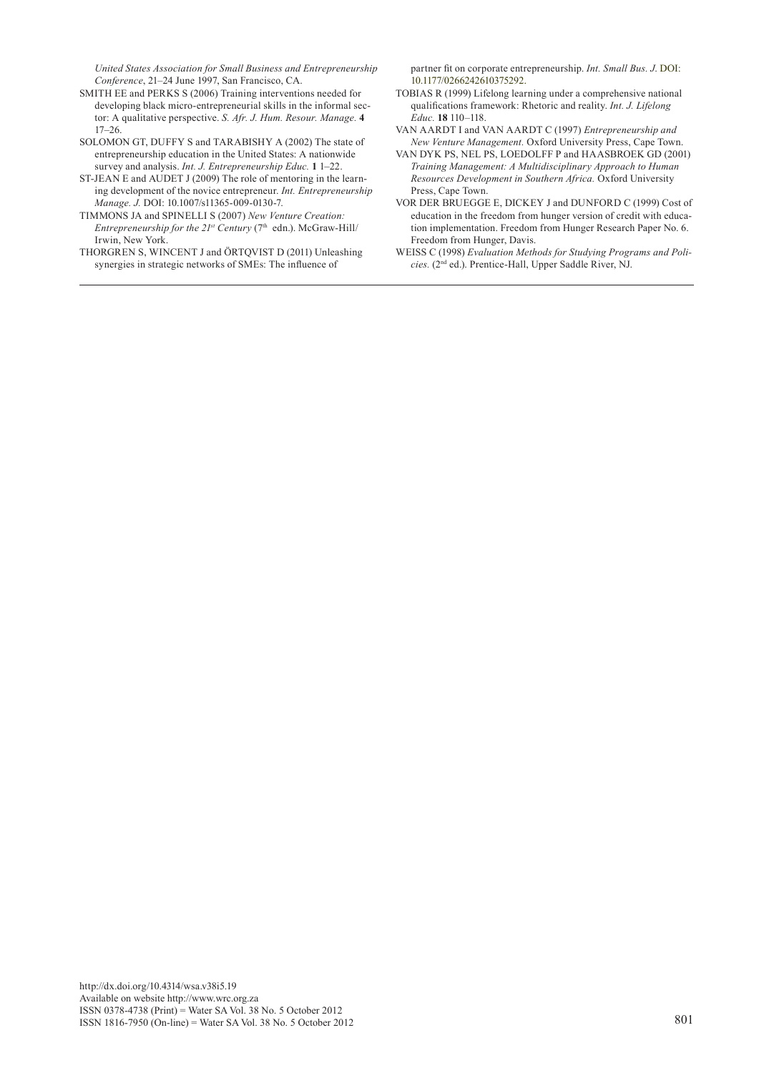*United States Association for Small Business and Entrepreneurship Conference*, 21–24 June 1997, San Francisco, CA.

- SMITH EE and PERKS S (2006) Training interventions needed for developing black micro-entrepreneurial skills in the informal sector: A qualitative perspective. *S. Afr. J. Hum. Resour. Manage.* **4** 17–26.
- SOLOMON GT, DUFFY S and TARABISHY A (2002) The state of entrepreneurship education in the United States: A nationwide survey and analysis. *Int. J. Entrepreneurship Educ.* **1** 1–22.
- [ST-JEAN](http://www.springerlink.com/content/?Author=Etienne+St-Jean) E and AUDET J (2009) The role of mentoring in the learning development of the novice entrepreneur. *Int. Entrepreneurship Manage. J.* DOI: 10.1007/s11365-009-0130-7.
- TIMMONS JA and SPINELLI S (2007) *New Venture Creation: Entrepreneurship for the 21<sup>st</sup> Century* (7<sup>th</sup> edn.). McGraw-Hill/ Irwin, New York.
- THORGREN S, WINCENT J and ÖRTQVIST D (2011) Unleashing synergies in strategic networks of SMEs: The influence of

partner fit on corporate entrepreneurship. *Int. Small Bus. J*. DOI: 10.1177/0266242610375292.

- TOBIAS R (1999) Lifelong learning under a comprehensive national qualifications framework: Rhetoric and reality. *Int. J. Lifelong Educ.* **18** 110–118.
- VAN AARDT I and VAN AARDT C (1997) *Entrepreneurship and New Venture Management.* Oxford University Press, Cape Town.
- VAN DYK PS, NEL PS, LOEDOLFF P and HAASBROEK GD (2001) *Training Management: A Multidisciplinary Approach to Human Resources Development in Southern Africa.* Oxford University Press, Cape Town.
- VOR DER BRUEGGE E, DICKEY J and DUNFORD C (1999) Cost of education in the freedom from hunger version of credit with education implementation. Freedom from Hunger Research Paper No. 6. Freedom from Hunger, Davis.
- WEISS C (1998) *Evaluation Methods for Studying Programs and Policies.* (2nd ed.). Prentice-Hall, Upper Saddle River, NJ.